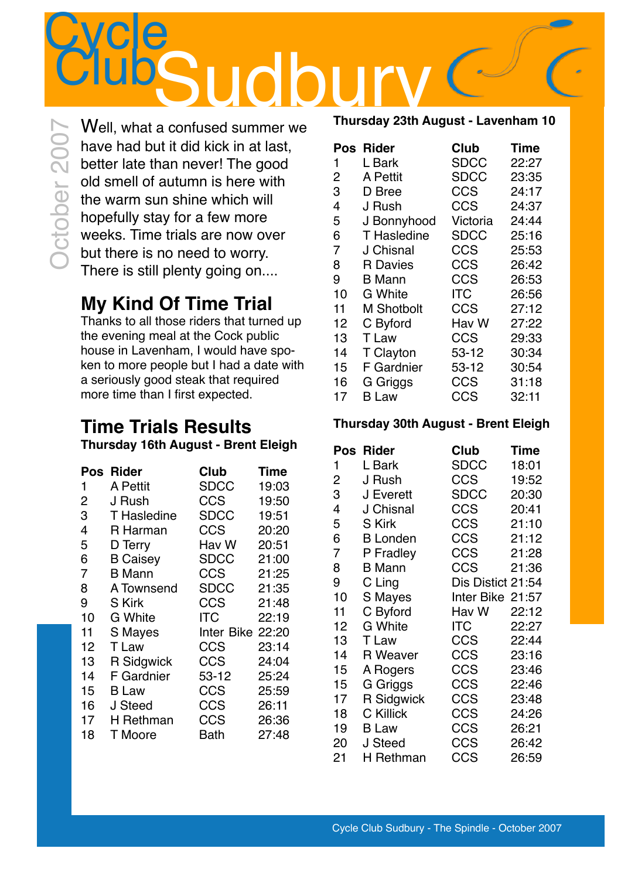ClubSudbury Well, what a confused summer we have had but it did kick in at last, better late than never! The good old smell of autumn is here with the warm sun shine which will hopefully stay for a few more weeks. Time trials are now over but there is no need to worry. There is still plenty going on....

**Cycle** 

October 2007

## **My Kind Of Time Trial**

Thanks to all those riders that turned up the evening meal at the Cock public house in Lavenham, I would have spoken to more people but I had a date with a seriously good steak that required more time than I first expected.

### **Time Trials Results Thursday 16th August - Brent Eleigh**

|    | Pos Rider         | Club        | <b>Time</b> |
|----|-------------------|-------------|-------------|
| 1  | A Pettit          | <b>SDCC</b> | 19:03       |
| 2  | J Rush            | CCS         | 19:50       |
| 3  | T Hasledine       | SDCC        | 19:51       |
| 4  | R Harman          | CCS         | 20:20       |
| 5  | D Terry           | Hav W       | 20:51       |
| 6  | <b>B</b> Caisey   | <b>SDCC</b> | 21:00       |
| 7  | <b>B</b> Mann     | CCS         | 21:25       |
| 8  | A Townsend        | SDCC        | 21:35       |
| 9  | S Kirk            | CCS         | 21:48       |
| 10 | G White           | ITC         | 22:19       |
| 11 | S Mayes           | Inter Bike  | 22:20       |
| 12 | T Law             | CCS         | 23:14       |
| 13 | <b>R</b> Sidgwick | CCS         | 24:04       |
| 14 | F Gardnier        | 53-12       | 25:24       |
| 15 | <b>B</b> Law      | CCS         | 25:59       |
| 16 | J Steed           | CCS         | 26:11       |
| 17 | H Rethman         | CCS         | 26:36       |
| 18 | T Moore           | Bath        | 27:48       |

#### **Thursday 23th August - Lavenham 10**

| Pos | <b>Rider</b>       | Club        | <b>Time</b> |
|-----|--------------------|-------------|-------------|
| 1   | L Bark             | <b>SDCC</b> | 22:27       |
| 2   | A Pettit           | <b>SDCC</b> | 23:35       |
| 3   | D Bree             | CCS         | 24:17       |
| 4   | J Rush             | CCS         | 24:37       |
| 5   | J Bonnyhood        | Victoria    | 24:44       |
| 6   | <b>T</b> Hasledine | <b>SDCC</b> | 25:16       |
| 7   | J Chisnal          | CCS         | 25:53       |
| 8   | <b>R</b> Davies    | CCS         | 26:42       |
| 9   | B Mann             | <b>CCS</b>  | 26:53       |
| 10  | G White            | ITC         | 26:56       |
| 11  | <b>M Shotbolt</b>  | <b>CCS</b>  | 27:12       |
| 12  | C Byford           | Hav W       | 27:22       |
| 13  | T Law              | CCS         | 29:33       |
| 14  | T Clayton          | 53-12       | 30:34       |
| 15  | <b>F</b> Gardnier  | $53 - 12$   | 30:54       |
| 16  | G Griggs           | CCS         | 31:18       |
| 17  | <b>B</b> Law       | CCS         | 32:11       |

#### **Thursday 30th August - Brent Eleigh**

| Pos | <b>Rider</b>    | <b>Club</b>       | <b>Time</b> |
|-----|-----------------|-------------------|-------------|
| 1   | L Bark          | SDCC              | 18:01       |
| 2   | J Rush          | CCS               | 19:52       |
| 3   | J Everett       | <b>SDCC</b>       | 20:30       |
| 4   | J Chisnal       | CCS               | 20:41       |
| 5   | S Kirk          | <b>CCS</b>        | 21:10       |
| 6   | <b>B</b> Londen | CCS               | 21:12       |
| 7   | P Fradley       | CCS               | 21:28       |
| 8   | <b>B</b> Mann   | CCS               | 21:36       |
| 9   | C Ling          | Dis Distict 21:54 |             |
| 10  | S Mayes         | Inter Bike 21:57  |             |
| 11  | C Byford        | Hav W             | 22:12       |
| 12  | G White         | ITC               | 22:27       |
| 13  | T Law           | <b>CCS</b>        | 22:44       |
| 14  | <b>R</b> Weaver | CCS               | 23:16       |
| 15  | A Rogers        | CCS               | 23:46       |
| 15  | G Griggs        | CCS               | 22:46       |
| 17  | R Sidgwick      | CCS               | 23:48       |
| 18  | C Killick       | CCS               | 24:26       |
| 19  | <b>B</b> Law    | CCS               | 26:21       |
| 20  | J Steed         | CCS               | 26:42       |
| 21  | H Rethman       | CCS               | 26:59       |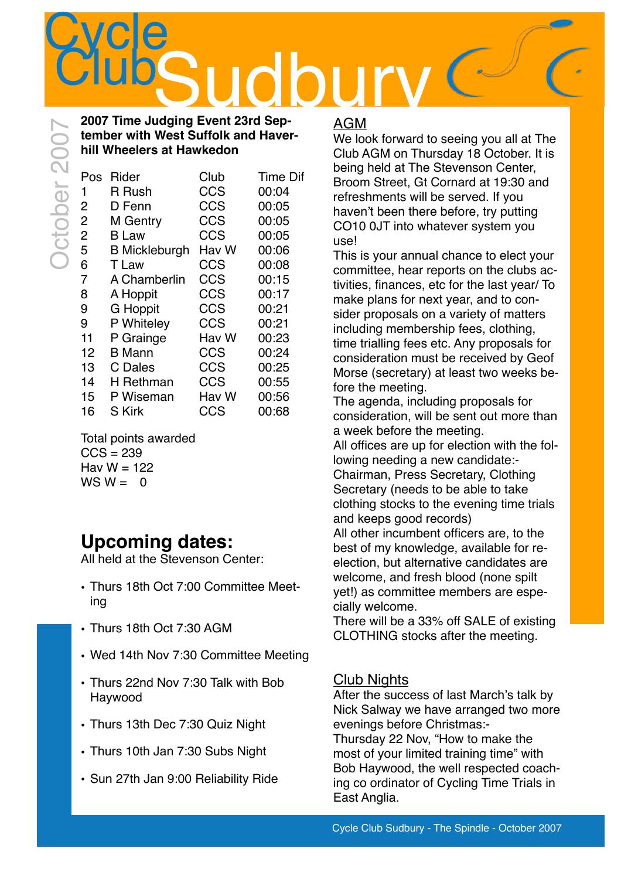

#### **2007 Time Judging Event 23rd September with West Suffolk and Haverhill Wheelers at Hawkedon**

| Pos            | Rider                | Club  | Time Dif |
|----------------|----------------------|-------|----------|
| 1              | R Rush               | CCS   | 00:04    |
| 2              | D Fenn               | CCS   | 00:05    |
| $\overline{2}$ | M Gentry             | CCS   | 00:05    |
| 2              | <b>B</b> Law         | CCS   | 00:05    |
| 5              | <b>B</b> Mickleburgh | Hav W | 00:06    |
| 6              | T Law                | CCS   | 00:08    |
| 7              | A Chamberlin         | CCS   | 00:15    |
| 8              | A Hoppit             | CCS   | 00:17    |
| 9              | <b>G</b> Hoppit      | CCS   | 00:21    |
| 9              | P Whiteley           | CCS   | 00:21    |
| 11             | P Grainge            | Hav W | 00:23    |
| 12             | <b>B</b> Mann        | CCS   | 00:24    |
| 13             | C Dales              | CCS   | 00:25    |
| 14             | H Rethman            | CCS   | 00:55    |
| 15             | P Wiseman            | Hav W | 00:56    |
| 16             | <b>S</b> Kirk        | CCS   | 00:68    |
|                |                      |       |          |

Total points awarded  $CCS = 239$ Hav  $W = 122$  $WS W = 0$ 

## **Upcoming dates:**

All held at the Stevenson Center:

- Thurs 18th Oct 7:00 Committee Meeting
- Thurs 18th Oct 7:30 AGM
- Wed 14th Nov 7:30 Committee Meeting
- Thurs 22nd Nov 7:30 Talk with Bob Haywood
- Thurs 13th Dec 7:30 Quiz Night
- Thurs 10th Jan 7:30 Subs Night
- Sun 27th Jan 9:00 Reliability Ride

#### AGM

We look forward to seeing you all at The Club AGM on Thursday 18 October. It is being held at The Stevenson Center, Broom Street, Gt Cornard at 19:30 and refreshments will be served. If you haven't been there before, try putting CO10 0JT into whatever system you use!

This is your annual chance to elect your committee, hear reports on the clubs activities, finances, etc for the last year/ To make plans for next year, and to consider proposals on a variety of matters including membership fees, clothing, time trialling fees etc. Any proposals for consideration must be received by Geof Morse (secretary) at least two weeks before the meeting.

The agenda, including proposals for consideration, will be sent out more than a week before the meeting.

All offices are up for election with the following needing a new candidate:- Chairman, Press Secretary, Clothing Secretary (needs to be able to take clothing stocks to the evening time trials

and keeps good records) All other incumbent officers are, to the best of my knowledge, available for reelection, but alternative candidates are welcome, and fresh blood (none spilt yet!) as committee members are especially welcome.

There will be a 33% off SALE of existing CLOTHING stocks after the meeting.

#### Club Nights

After the success of last March's talk by Nick Salway we have arranged two more evenings before Christmas:-

Thursday 22 Nov, "How to make the most of your limited training time" with Bob Haywood, the well respected coaching co ordinator of Cycling Time Trials in East Anglia.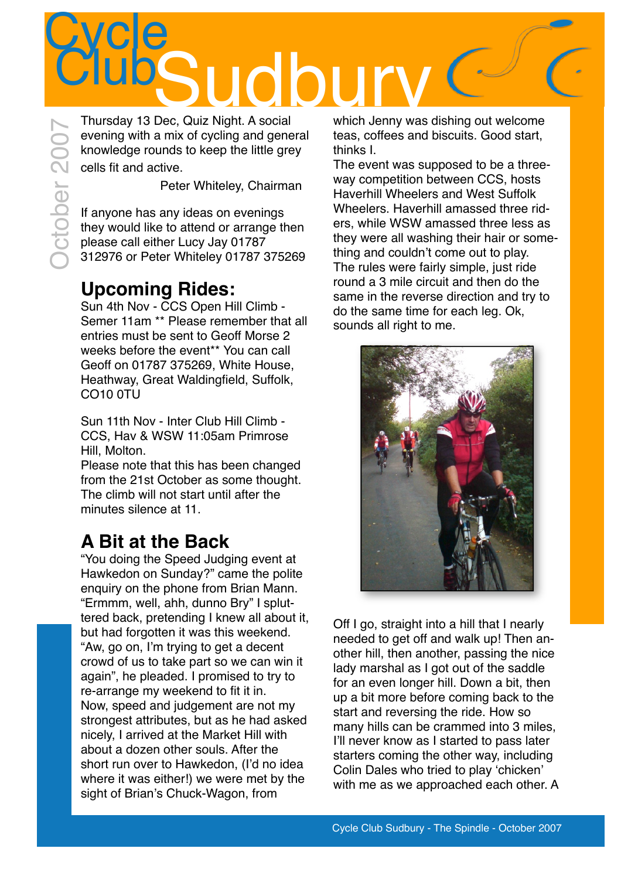

Thursday 13 Dec, Quiz Night. A social evening with a mix of cycling and general knowledge rounds to keep the little grey cells fit and active.

Peter Whiteley, Chairman

If anyone has any ideas on evenings they would like to attend or arrange then please call either Lucy Jay 01787 312976 or Peter Whiteley 01787 375269

## **Upcoming Rides:**

Sun 4th Nov - CCS Open Hill Climb - Semer 11am \*\* Please remember that all entries must be sent to Geoff Morse 2 weeks before the event\*\* You can call Geoff on 01787 375269, White House, Heathway, Great Waldingfield, Suffolk, CO10 0TU

Sun 11th Nov - Inter Club Hill Climb - CCS, Hav & WSW 11:05am Primrose Hill, Molton.

Please note that this has been changed from the 21st October as some thought. The climb will not start until after the minutes silence at 11.

## **A Bit at the Back**

"You doing the Speed Judging event at Hawkedon on Sunday?" came the polite enquiry on the phone from Brian Mann. "Ermmm, well, ahh, dunno Bry" I spluttered back, pretending I knew all about it, but had forgotten it was this weekend. "Aw, go on, I'm trying to get a decent crowd of us to take part so we can win it again", he pleaded. I promised to try to re-arrange my weekend to fit it in. Now, speed and judgement are not my strongest attributes, but as he had asked nicely, I arrived at the Market Hill with about a dozen other souls. After the short run over to Hawkedon, (I'd no idea where it was either!) we were met by the sight of Brian's Chuck-Wagon, from

which Jenny was dishing out welcome teas, coffees and biscuits. Good start, thinks I.

The event was supposed to be a threeway competition between CCS, hosts Haverhill Wheelers and West Suffolk Wheelers. Haverhill amassed three riders, while WSW amassed three less as they were all washing their hair or something and couldn't come out to play. The rules were fairly simple, just ride round a 3 mile circuit and then do the same in the reverse direction and try to do the same time for each leg. Ok, sounds all right to me.



Off I go, straight into a hill that I nearly needed to get off and walk up! Then another hill, then another, passing the nice lady marshal as I got out of the saddle for an even longer hill. Down a bit, then up a bit more before coming back to the start and reversing the ride. How so many hills can be crammed into 3 miles, I'll never know as I started to pass later starters coming the other way, including Colin Dales who tried to play 'chicken' with me as we approached each other. A